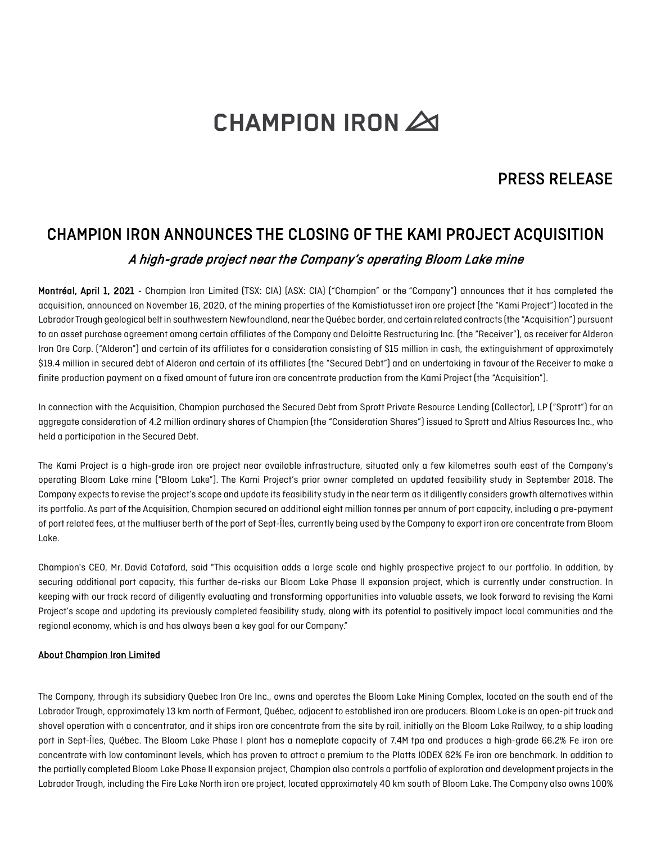# **CHAMPION IRON 20**

### PRESS RELEASE

## CHAMPION IRON ANNOUNCES THE CLOSING OF THE KAMI PROJECT ACQUISITION A high-grade project near the Company's operating Bloom Lake mine

Montréal, April 1, 2021 - Champion Iron Limited (TSX: CIA) (ASX: CIA) ("Champion" or the "Company") announces that it has completed the acquisition, announced on November 16, 2020, of the mining properties of the Kamistiatusset iron ore project (the "Kami Project") located in the Labrador Trough geological belt in southwestern Newfoundland, near the Québec border, and certain related contracts (the "Acquisition") pursuant to an asset purchase agreement among certain affiliates of the Company and Deloitte Restructuring Inc. (the "Receiver"), as receiver for Alderon Iron Ore Corp. ("Alderon") and certain of its affiliates for a consideration consisting of \$15 million in cash, the extinguishment of approximately \$19.4 million in secured debt of Alderon and certain of its affiliates (the "Secured Debt") and an undertaking in favour of the Receiver to make a finite production payment on a fixed amount of future iron ore concentrate production from the Kami Project (the "Acquisition").

In connection with the Acquisition, Champion purchased the Secured Debt from Sprott Private Resource Lending (Collector), LP ("Sprott") for an aggregate consideration of 4.2 million ordinary shares of Champion (the "Consideration Shares") issued to Sprott and Altius Resources Inc., who held a participation in the Secured Debt.

The Kami Project is a high-grade iron ore project near available infrastructure, situated only a few kilometres south east of the Company's operating Bloom Lake mine ("Bloom Lake"). The Kami Project's prior owner completed an updated feasibility study in September 2018. The Company expects to revise the project's scope and update its feasibility study in the near term as it diligently considers growth alternativeswithin its portfolio. As part of the Acquisition, Champion secured an additional eight million tonnes per annum of port capacity, including a pre-payment of port related fees, atthe multiuser berth of the port of Sept-Îles, currently being used by the Company to export iron ore concentrate from Bloom Lake.

Champion's CEO, Mr. David Cataford, said "This acquisition adds a large scale and highly prospective project to our portfolio. In addition, by securing additional port capacity, this further de-risks our Bloom Lake Phase II expansion project, which is currently under construction. In keeping with our track record of diligently evaluating and transforming opportunities into valuable assets, we look forward to revising the Kami Project's scope and updating its previously completed feasibility study, along with its potential to positively impact local communities and the regional economy, which is and has always been a key goal for our Company."

#### About Champion Iron Limited

The Company, through its subsidiary Quebec Iron Ore Inc., owns and operates the Bloom Lake Mining Complex, located on the south end of the Labrador Trough, approximately 13 km north of Fermont, Québec, adjacent to established iron ore producers. Bloom Lake is an open-pit truck and shovel operation with a concentrator, and it ships iron ore concentrate from the site by rail, initially on the Bloom Lake Railway, to a ship loading port in Sept-Îles, Québec. The Bloom Lake Phase I plant has a nameplate capacity of 7.4M tpa and produces a high-grade 66.2% Fe iron ore concentrate with low contaminant levels, which has proven to attract a premium to the Platts IODEX 62% Fe iron ore benchmark. In addition to the partially completed Bloom Lake Phase II expansion project, Champion also controls a portfolio of exploration and development projects in the Labrador Trough, including the Fire Lake North iron ore project, located approximately 40 km south of Bloom Lake. The Company also owns 100%